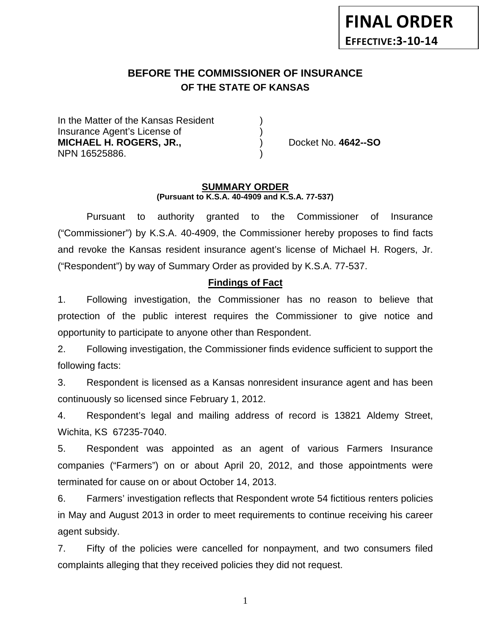# **BEFORE THE COMMISSIONER OF INSURANCE OF THE STATE OF KANSAS**

In the Matter of the Kansas Resident Insurance Agent's License of ) **MICHAEL H. ROGERS, JR.,**  (a) Docket No. 4642--SO NPN 16525886. )

#### **SUMMARY ORDER (Pursuant to K.S.A. 40-4909 and K.S.A. 77-537)**

Pursuant to authority granted to the Commissioner of Insurance ("Commissioner") by K.S.A. 40-4909, the Commissioner hereby proposes to find facts and revoke the Kansas resident insurance agent's license of Michael H. Rogers, Jr. ("Respondent") by way of Summary Order as provided by K.S.A. 77-537.

#### **Findings of Fact**

1. Following investigation, the Commissioner has no reason to believe that protection of the public interest requires the Commissioner to give notice and opportunity to participate to anyone other than Respondent.

2. Following investigation, the Commissioner finds evidence sufficient to support the following facts:

3. Respondent is licensed as a Kansas nonresident insurance agent and has been continuously so licensed since February 1, 2012.

4. Respondent's legal and mailing address of record is 13821 Aldemy Street, Wichita, KS 67235-7040.

5. Respondent was appointed as an agent of various Farmers Insurance companies ("Farmers") on or about April 20, 2012, and those appointments were terminated for cause on or about October 14, 2013.

6. Farmers' investigation reflects that Respondent wrote 54 fictitious renters policies in May and August 2013 in order to meet requirements to continue receiving his career agent subsidy.

7. Fifty of the policies were cancelled for nonpayment, and two consumers filed complaints alleging that they received policies they did not request.

1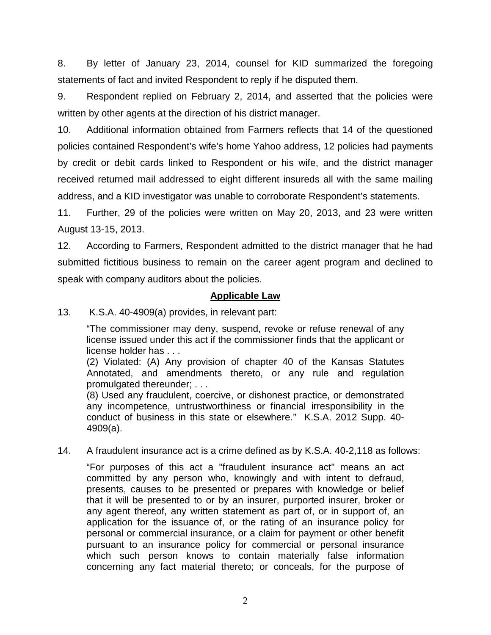8. By letter of January 23, 2014, counsel for KID summarized the foregoing statements of fact and invited Respondent to reply if he disputed them.

9. Respondent replied on February 2, 2014, and asserted that the policies were written by other agents at the direction of his district manager.

10. Additional information obtained from Farmers reflects that 14 of the questioned policies contained Respondent's wife's home Yahoo address, 12 policies had payments by credit or debit cards linked to Respondent or his wife, and the district manager received returned mail addressed to eight different insureds all with the same mailing address, and a KID investigator was unable to corroborate Respondent's statements.

11. Further, 29 of the policies were written on May 20, 2013, and 23 were written August 13-15, 2013.

12. According to Farmers, Respondent admitted to the district manager that he had submitted fictitious business to remain on the career agent program and declined to speak with company auditors about the policies.

## **Applicable Law**

13. K.S.A. 40-4909(a) provides, in relevant part:

"The commissioner may deny, suspend, revoke or refuse renewal of any license issued under this act if the commissioner finds that the applicant or license holder has . . .

(2) Violated: (A) Any provision of chapter 40 of the Kansas Statutes Annotated, and amendments thereto, or any rule and regulation promulgated thereunder; . . .

(8) Used any fraudulent, coercive, or dishonest practice, or demonstrated any incompetence, untrustworthiness or financial irresponsibility in the conduct of business in this state or elsewhere." K.S.A. 2012 Supp. 40- 4909(a).

#### 14. A fraudulent insurance act is a crime defined as by K.S.A. 40-2,118 as follows:

"For purposes of this act a "fraudulent insurance act" means an act committed by any person who, knowingly and with intent to defraud, presents, causes to be presented or prepares with knowledge or belief that it will be presented to or by an insurer, purported insurer, broker or any agent thereof, any written statement as part of, or in support of, an application for the issuance of, or the rating of an insurance policy for personal or commercial insurance, or a claim for payment or other benefit pursuant to an insurance policy for commercial or personal insurance which such person knows to contain materially false information concerning any fact material thereto; or conceals, for the purpose of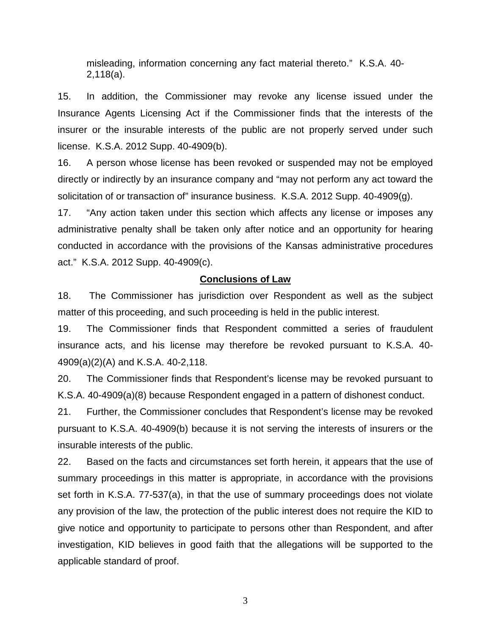misleading, information concerning any fact material thereto." K.S.A. 40- 2,118(a).

15. In addition, the Commissioner may revoke any license issued under the Insurance Agents Licensing Act if the Commissioner finds that the interests of the insurer or the insurable interests of the public are not properly served under such license. K.S.A. 2012 Supp. 40-4909(b).

16. A person whose license has been revoked or suspended may not be employed directly or indirectly by an insurance company and "may not perform any act toward the solicitation of or transaction of" insurance business. K.S.A. 2012 Supp. 40-4909(g).

17. "Any action taken under this section which affects any license or imposes any administrative penalty shall be taken only after notice and an opportunity for hearing conducted in accordance with the provisions of the Kansas administrative procedures act." K.S.A. 2012 Supp. 40-4909(c).

#### **Conclusions of Law**

18. The Commissioner has jurisdiction over Respondent as well as the subject matter of this proceeding, and such proceeding is held in the public interest.

19. The Commissioner finds that Respondent committed a series of fraudulent insurance acts, and his license may therefore be revoked pursuant to K.S.A. 40- 4909(a)(2)(A) and K.S.A. 40-2,118.

20. The Commissioner finds that Respondent's license may be revoked pursuant to K.S.A. 40-4909(a)(8) because Respondent engaged in a pattern of dishonest conduct.

21. Further, the Commissioner concludes that Respondent's license may be revoked pursuant to K.S.A. 40-4909(b) because it is not serving the interests of insurers or the insurable interests of the public.

22. Based on the facts and circumstances set forth herein, it appears that the use of summary proceedings in this matter is appropriate, in accordance with the provisions set forth in K.S.A. 77-537(a), in that the use of summary proceedings does not violate any provision of the law, the protection of the public interest does not require the KID to give notice and opportunity to participate to persons other than Respondent, and after investigation, KID believes in good faith that the allegations will be supported to the applicable standard of proof.

3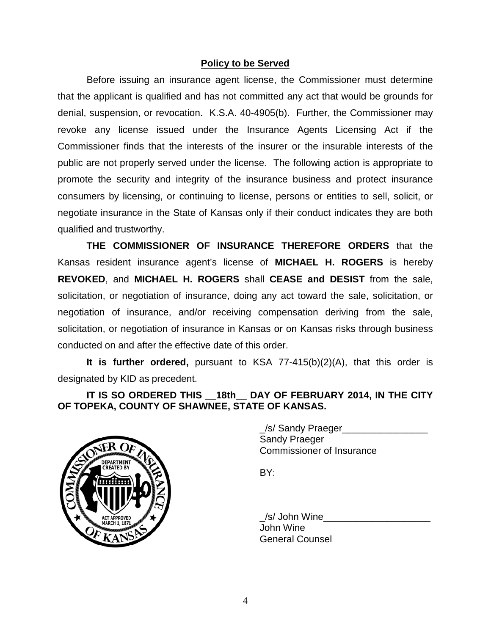## **Policy to be Served**

Before issuing an insurance agent license, the Commissioner must determine that the applicant is qualified and has not committed any act that would be grounds for denial, suspension, or revocation. K.S.A. 40-4905(b). Further, the Commissioner may revoke any license issued under the Insurance Agents Licensing Act if the Commissioner finds that the interests of the insurer or the insurable interests of the public are not properly served under the license. The following action is appropriate to promote the security and integrity of the insurance business and protect insurance consumers by licensing, or continuing to license, persons or entities to sell, solicit, or negotiate insurance in the State of Kansas only if their conduct indicates they are both qualified and trustworthy.

**THE COMMISSIONER OF INSURANCE THEREFORE ORDERS** that the Kansas resident insurance agent's license of **MICHAEL H. ROGERS** is hereby **REVOKED**, and **MICHAEL H. ROGERS** shall **CEASE and DESIST** from the sale, solicitation, or negotiation of insurance, doing any act toward the sale, solicitation, or negotiation of insurance, and/or receiving compensation deriving from the sale, solicitation, or negotiation of insurance in Kansas or on Kansas risks through business conducted on and after the effective date of this order.

**It is further ordered,** pursuant to KSA 77-415(b)(2)(A), that this order is designated by KID as precedent.

## **IT IS SO ORDERED THIS \_\_18th\_\_ DAY OF FEBRUARY 2014, IN THE CITY OF TOPEKA, COUNTY OF SHAWNEE, STATE OF KANSAS.**



/s/ Sandy Praeger Sandy Praeger Commissioner of Insurance

BY:

\_/s/ John Wine\_\_\_\_\_\_\_\_\_\_\_\_\_\_\_\_\_\_\_\_ John Wine General Counsel